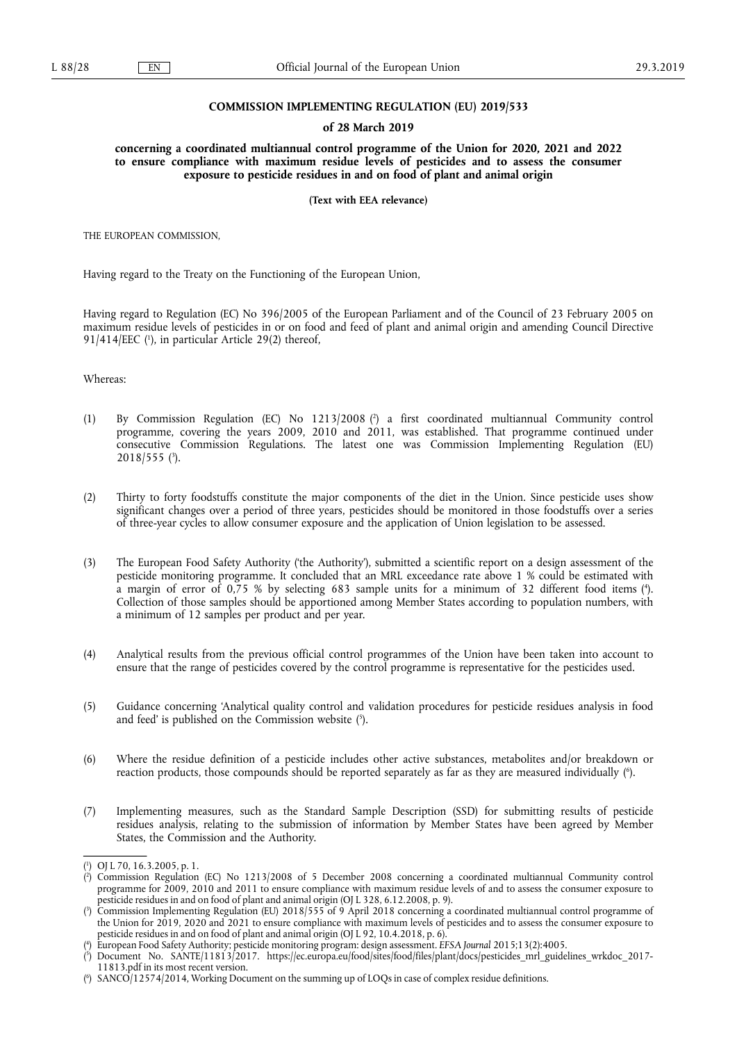## **COMMISSION IMPLEMENTING REGULATION (EU) 2019/533**

#### **of 28 March 2019**

**concerning a coordinated multiannual control programme of the Union for 2020, 2021 and 2022 to ensure compliance with maximum residue levels of pesticides and to assess the consumer exposure to pesticide residues in and on food of plant and animal origin** 

**(Text with EEA relevance)** 

THE EUROPEAN COMMISSION,

Having regard to the Treaty on the Functioning of the European Union,

Having regard to Regulation (EC) No 396/2005 of the European Parliament and of the Council of 23 February 2005 on maximum residue levels of pesticides in or on food and feed of plant and animal origin and amending Council Directive 91/414/EEC ( 1 ), in particular Article 29(2) thereof,

Whereas:

- (1) By Commission Regulation (EC) No 1213/2008 ( 2 ) a first coordinated multiannual Community control programme, covering the years 2009, 2010 and 2011, was established. That programme continued under consecutive Commission Regulations. The latest one was Commission Implementing Regulation (EU) 2018/555 ( 3 ).
- (2) Thirty to forty foodstuffs constitute the major components of the diet in the Union. Since pesticide uses show significant changes over a period of three years, pesticides should be monitored in those foodstuffs over a series of three-year cycles to allow consumer exposure and the application of Union legislation to be assessed.
- (3) The European Food Safety Authority ('the Authority'), submitted a scientific report on a design assessment of the pesticide monitoring programme. It concluded that an MRL exceedance rate above 1 % could be estimated with a margin of error of 0,75 % by selecting 683 sample units for a minimum of 32 different food items ( 4 ). Collection of those samples should be apportioned among Member States according to population numbers, with a minimum of 12 samples per product and per year.
- (4) Analytical results from the previous official control programmes of the Union have been taken into account to ensure that the range of pesticides covered by the control programme is representative for the pesticides used.
- (5) Guidance concerning 'Analytical quality control and validation procedures for pesticide residues analysis in food and feed' is published on the Commission website (5).
- (6) Where the residue definition of a pesticide includes other active substances, metabolites and/or breakdown or reaction products, those compounds should be reported separately as far as they are measured individually ( 6 ).
- (7) Implementing measures, such as the Standard Sample Description (SSD) for submitting results of pesticide residues analysis, relating to the submission of information by Member States have been agreed by Member States, the Commission and the Authority.

<sup>(</sup> 1 ) OJ L 70, 16.3.2005, p. 1.

<sup>(</sup> 2 ) Commission Regulation (EC) No 1213/2008 of 5 December 2008 concerning a coordinated multiannual Community control programme for 2009, 2010 and 2011 to ensure compliance with maximum residue levels of and to assess the consumer exposure to pesticide residues in and on food of plant and animal origin (OJ L 328, 6.12.2008, p. 9).

<sup>(</sup> 3 ) Commission Implementing Regulation (EU) 2018/555 of 9 April 2018 concerning a coordinated multiannual control programme of the Union for 2019, 2020 and 2021 to ensure compliance with maximum levels of pesticides and to assess the consumer exposure to pesticide residues in and on food of plant and animal origin (OJ L 92, 10.4.2018, p. 6).

<sup>(</sup> 4 ) European Food Safety Authority; pesticide monitoring program: design assessment. *EFSA Journal* 2015;13(2):4005.

<sup>(</sup> 5 ) Document No. SANTE/11813/2017. [https://ec.europa.eu/food/sites/food/files/plant/docs/pesticides\\_mrl\\_guidelines\\_wrkdoc\\_2017-](https://ec.europa.eu/food/sites/food/files/plant/docs/pesticides_mrl_guidelines_wrkdoc_2017-11813.pdf)  [11813.pdf](https://ec.europa.eu/food/sites/food/files/plant/docs/pesticides_mrl_guidelines_wrkdoc_2017-11813.pdf) in its most recent version.

<sup>(</sup> 6 ) SANCO/12574/2014, Working Document on the summing up of LOQs in case of complex residue definitions.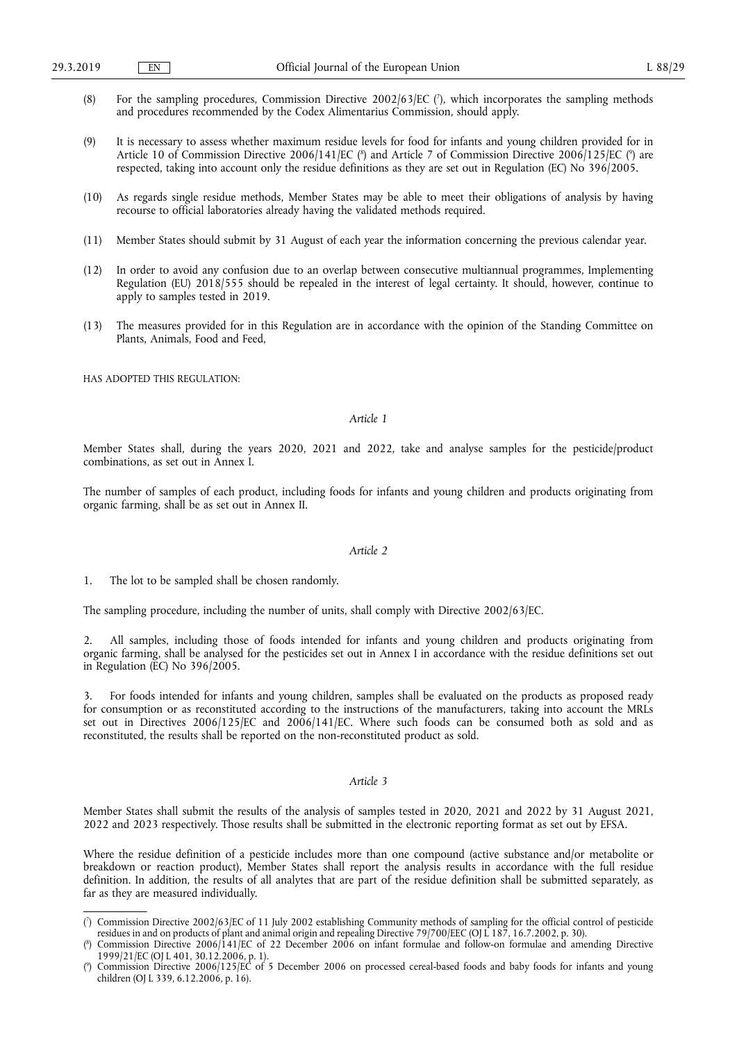- (8) For the sampling procedures, Commission Directive 2002/63/EC ( 7 ), which incorporates the sampling methods and procedures recommended by the Codex Alimentarius Commission, should apply.
- (9) It is necessary to assess whether maximum residue levels for food for infants and young children provided for in Article 10 of Commission Directive 2006/141/EC (<sup>8</sup>) and Article 7 of Commission Directive 2006/125/EC (°) are respected, taking into account only the residue definitions as they are set out in Regulation (EC) No 396/2005.
- (10) As regards single residue methods, Member States may be able to meet their obligations of analysis by having recourse to official laboratories already having the validated methods required.
- (11) Member States should submit by 31 August of each year the information concerning the previous calendar year.
- (12) In order to avoid any confusion due to an overlap between consecutive multiannual programmes, Implementing Regulation (EU) 2018/555 should be repealed in the interest of legal certainty. It should, however, continue to apply to samples tested in 2019.
- (13) The measures provided for in this Regulation are in accordance with the opinion of the Standing Committee on Plants, Animals, Food and Feed,

HAS ADOPTED THIS REGULATION:

## *Article 1*

Member States shall, during the years 2020, 2021 and 2022, take and analyse samples for the pesticide/product combinations, as set out in Annex I.

The number of samples of each product, including foods for infants and young children and products originating from organic farming, shall be as set out in Annex II.

#### *Article 2*

1. The lot to be sampled shall be chosen randomly.

The sampling procedure, including the number of units, shall comply with Directive 2002/63/EC.

2. All samples, including those of foods intended for infants and young children and products originating from organic farming, shall be analysed for the pesticides set out in Annex I in accordance with the residue definitions set out in Regulation (EC) No 396/2005.

3. For foods intended for infants and young children, samples shall be evaluated on the products as proposed ready for consumption or as reconstituted according to the instructions of the manufacturers, taking into account the MRLs set out in Directives 2006/125/EC and 2006/141/EC. Where such foods can be consumed both as sold and as reconstituted, the results shall be reported on the non-reconstituted product as sold.

#### *Article 3*

Member States shall submit the results of the analysis of samples tested in 2020, 2021 and 2022 by 31 August 2021, 2022 and 2023 respectively. Those results shall be submitted in the electronic reporting format as set out by EFSA.

Where the residue definition of a pesticide includes more than one compound (active substance and/or metabolite or breakdown or reaction product), Member States shall report the analysis results in accordance with the full residue definition. In addition, the results of all analytes that are part of the residue definition shall be submitted separately, as far as they are measured individually.

<sup>(</sup> 7 ) Commission Directive 2002/63/EC of 11 July 2002 establishing Community methods of sampling for the official control of pesticide residues in and on products of plant and animal origin and repealing Directive 79/700/EEC (OJ L 187, 16.7.2002, p. 30).

<sup>(</sup> 8 ) Commission Directive 2006/141/EC of 22 December 2006 on infant formulae and follow-on formulae and amending Directive 1999/21/EC (OJ L 401, 30.12.2006, p. 1).

<sup>(</sup> 9 ) Commission Directive 2006/125/EC of 5 December 2006 on processed cereal-based foods and baby foods for infants and young children (OJ L 339, 6.12.2006, p. 16).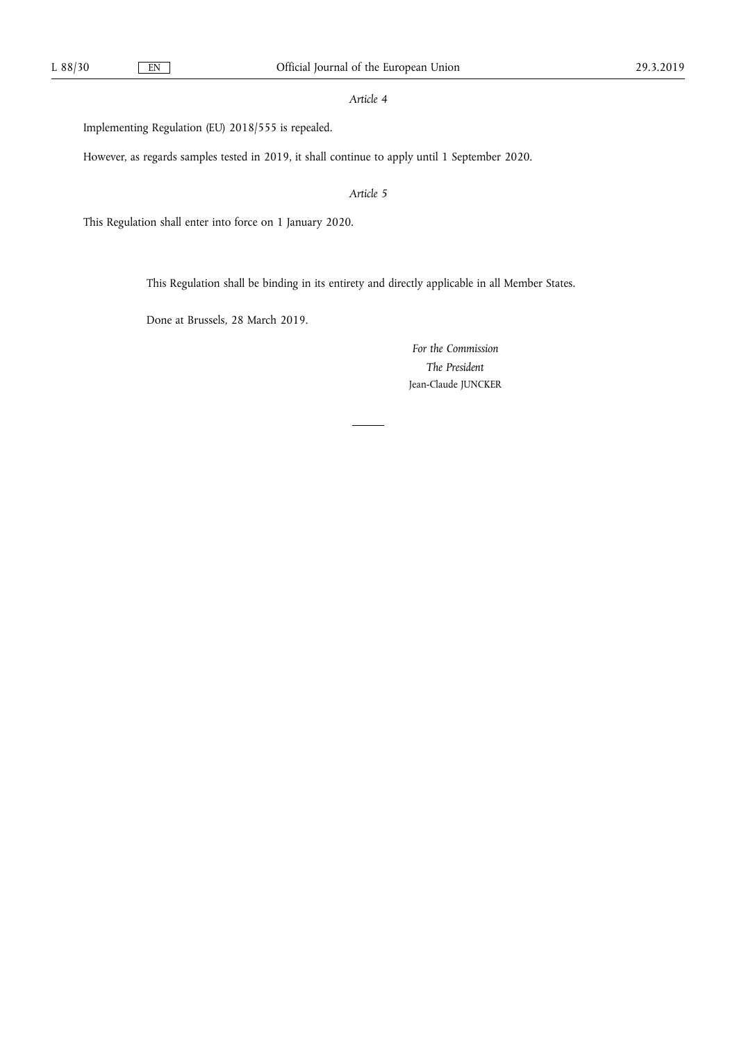## *Article 4*

Implementing Regulation (EU) 2018/555 is repealed.

However, as regards samples tested in 2019, it shall continue to apply until 1 September 2020.

*Article 5* 

This Regulation shall enter into force on 1 January 2020.

This Regulation shall be binding in its entirety and directly applicable in all Member States.

Done at Brussels, 28 March 2019.

*For the Commission The President*  Jean-Claude JUNCKER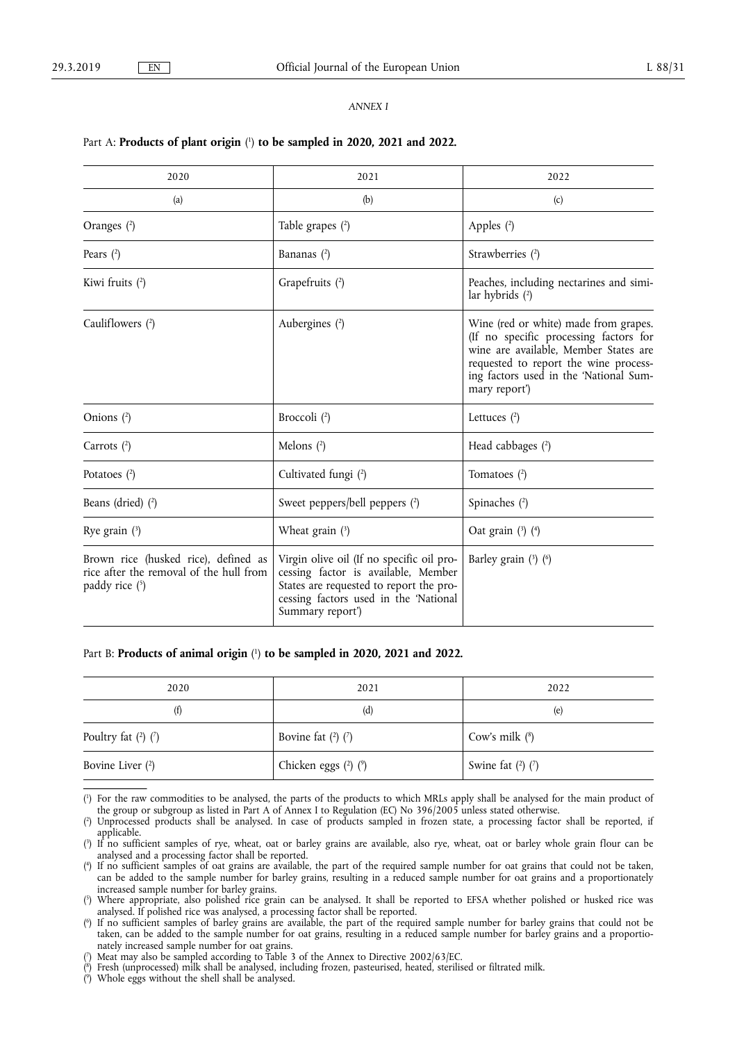## *ANNEX I*

## Part A: **Products of plant origin** ( 1 ) **to be sampled in 2020, 2021 and 2022.**

| 2020                                                                                                | 2021                                                                                                                                                                                     | 2022                                                                                                                                                                                                                         |  |  |
|-----------------------------------------------------------------------------------------------------|------------------------------------------------------------------------------------------------------------------------------------------------------------------------------------------|------------------------------------------------------------------------------------------------------------------------------------------------------------------------------------------------------------------------------|--|--|
| (a)                                                                                                 | (b)                                                                                                                                                                                      | (c)                                                                                                                                                                                                                          |  |  |
| Oranges (2)                                                                                         | Table grapes $(2)$                                                                                                                                                                       | Apples $(2)$                                                                                                                                                                                                                 |  |  |
| Pears $(2)$                                                                                         | Bananas $(2)$                                                                                                                                                                            | Strawberries (2)                                                                                                                                                                                                             |  |  |
| Kiwi fruits $(2)$                                                                                   | Grapefruits (2)                                                                                                                                                                          | Peaches, including nectarines and simi-<br>lar hybrids $(2)$                                                                                                                                                                 |  |  |
| Cauliflowers (2)                                                                                    | Aubergines (2)                                                                                                                                                                           | Wine (red or white) made from grapes.<br>(If no specific processing factors for<br>wine are available, Member States are<br>requested to report the wine process-<br>ing factors used in the 'National Sum-<br>mary report') |  |  |
| Onions $(2)$                                                                                        | Broccoli (2)                                                                                                                                                                             | Lettuces $(2)$                                                                                                                                                                                                               |  |  |
| Carrots $(2)$                                                                                       | Melons $(2)$                                                                                                                                                                             | Head cabbages (2)                                                                                                                                                                                                            |  |  |
| Potatoes $(2)$                                                                                      | Cultivated fungi (2)                                                                                                                                                                     | Tomatoes $(2)$                                                                                                                                                                                                               |  |  |
| Beans (dried) (2)                                                                                   | Sweet peppers/bell peppers (2)                                                                                                                                                           | Spinaches (2)                                                                                                                                                                                                                |  |  |
| Rye grain $(3)$                                                                                     | Wheat grain $(3)$                                                                                                                                                                        | Oat grain $(3)$ $(4)$                                                                                                                                                                                                        |  |  |
| Brown rice (husked rice), defined as<br>rice after the removal of the hull from<br>paddy rice $(5)$ | Virgin olive oil (If no specific oil pro-<br>cessing factor is available, Member<br>States are requested to report the pro-<br>cessing factors used in the 'National<br>Summary report') | Barley grain $(3)$ $(6)$                                                                                                                                                                                                     |  |  |

## Part B: **Products of animal origin** ( 1) **to be sampled in 2020, 2021 and 2022.**

| 2020                    | 2021                     | 2022                  |
|-------------------------|--------------------------|-----------------------|
| (f)                     | (d)                      | (e)                   |
| Poultry fat $(2)$ $(7)$ | Bovine fat $(2)$ $(7)$   | Cow's milk $(^{8})$   |
| Bovine Liver $(2)$      | Chicken eggs $(2)$ $(2)$ | Swine fat $(2)$ $(7)$ |

<sup>(</sup> 1 ) For the raw commodities to be analysed, the parts of the products to which MRLs apply shall be analysed for the main product of the group or subgroup as listed in Part A of Annex I to Regulation (EC) No 396/2005 unless stated otherwise.

 $(2)$ ) Unprocessed products shall be analysed. In case of products sampled in frozen state, a processing factor shall be reported, if applicable.

<sup>(</sup> 3 If no sufficient samples of rye, wheat, oat or barley grains are available, also rye, wheat, oat or barley whole grain flour can be analysed and a processing factor shall be reported.

<sup>(</sup> 4 ) If no sufficient samples of oat grains are available, the part of the required sample number for oat grains that could not be taken, can be added to the sample number for barley grains, resulting in a reduced sample number for oat grains and a proportionately increased sample number for barley grains.

<sup>(</sup> 5 ) Where appropriate, also polished rice grain can be analysed. It shall be reported to EFSA whether polished or husked rice was analysed. If polished rice was analysed, a processing factor shall be reported.

<sup>(</sup> 6 ) If no sufficient samples of barley grains are available, the part of the required sample number for barley grains that could not be taken, can be added to the sample number for oat grains, resulting in a reduced sample number for barley grains and a proportionately increased sample number for oat grains.

<sup>(</sup> 7 ) Meat may also be sampled according to Table 3 of the Annex to Directive 2002/63/EC.

<sup>(</sup> 8 ) Fresh (unprocessed) milk shall be analysed, including frozen, pasteurised, heated, sterilised or filtrated milk.

<sup>(</sup> 9 ) Whole eggs without the shell shall be analysed.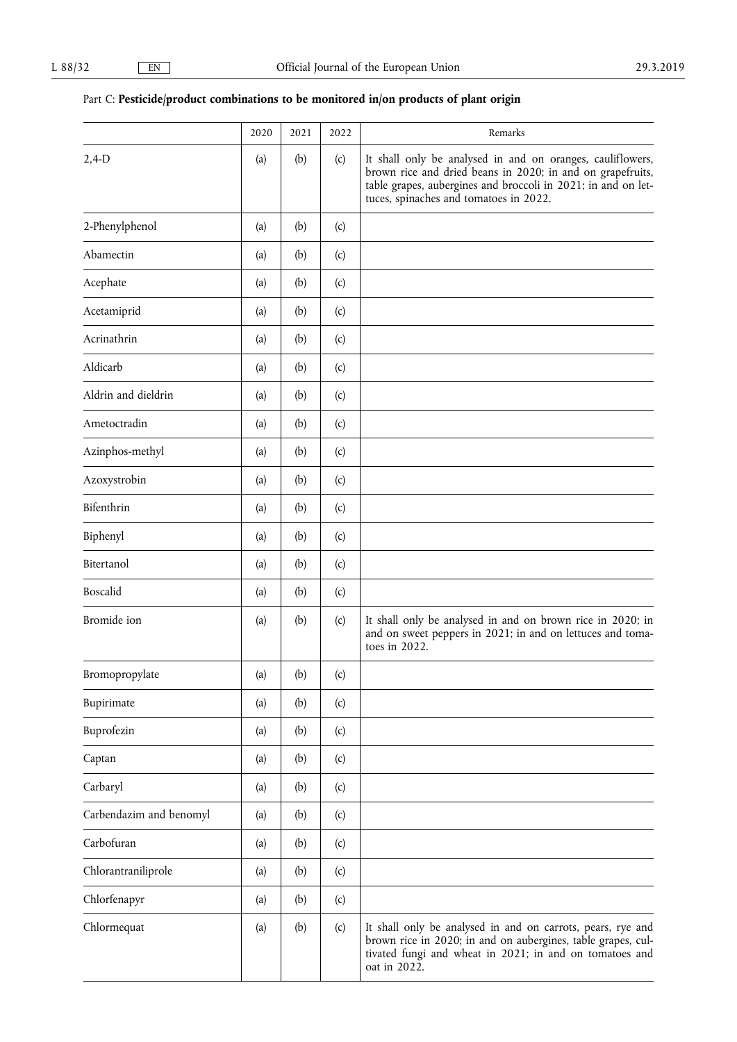# Part C: Pesticide/product combinations to be monitored in/on products of plant origin

|                         | 2020 | 2021 | 2022 | Remarks                                                                                                                                                                                                                             |
|-------------------------|------|------|------|-------------------------------------------------------------------------------------------------------------------------------------------------------------------------------------------------------------------------------------|
| $2,4-D$                 | (a)  | (b)  | (c)  | It shall only be analysed in and on oranges, cauliflowers,<br>brown rice and dried beans in 2020; in and on grapefruits,<br>table grapes, aubergines and broccoli in 2021; in and on let-<br>tuces, spinaches and tomatoes in 2022. |
| 2-Phenylphenol          | (a)  | (b)  | (c)  |                                                                                                                                                                                                                                     |
| Abamectin               | (a)  | (b)  | (c)  |                                                                                                                                                                                                                                     |
| Acephate                | (a)  | (b)  | (c)  |                                                                                                                                                                                                                                     |
| Acetamiprid             | (a)  | (b)  | (c)  |                                                                                                                                                                                                                                     |
| Acrinathrin             | (a)  | (b)  | (c)  |                                                                                                                                                                                                                                     |
| Aldicarb                | (a)  | (b)  | (c)  |                                                                                                                                                                                                                                     |
| Aldrin and dieldrin     | (a)  | (b)  | (c)  |                                                                                                                                                                                                                                     |
| Ametoctradin            | (a)  | (b)  | (c)  |                                                                                                                                                                                                                                     |
| Azinphos-methyl         | (a)  | (b)  | (c)  |                                                                                                                                                                                                                                     |
| Azoxystrobin            | (a)  | (b)  | (c)  |                                                                                                                                                                                                                                     |
| Bifenthrin              | (a)  | (b)  | (c)  |                                                                                                                                                                                                                                     |
| Biphenyl                | (a)  | (b)  | (c)  |                                                                                                                                                                                                                                     |
| Bitertanol              | (a)  | (b)  | (c)  |                                                                                                                                                                                                                                     |
| Boscalid                | (a)  | (b)  | (c)  |                                                                                                                                                                                                                                     |
| Bromide ion             | (a)  | (b)  | (c)  | It shall only be analysed in and on brown rice in 2020; in<br>and on sweet peppers in 2021; in and on lettuces and toma-<br>toes in 2022.                                                                                           |
| Bromopropylate          | (a)  | (b)  | (c)  |                                                                                                                                                                                                                                     |
| Bupirimate              | (a)  | (b)  | (c)  |                                                                                                                                                                                                                                     |
| Buprofezin              | (a)  | (b)  | (c)  |                                                                                                                                                                                                                                     |
| Captan                  | (a)  | (b)  | (c)  |                                                                                                                                                                                                                                     |
| Carbaryl                | (a)  | (b)  | (c)  |                                                                                                                                                                                                                                     |
| Carbendazim and benomyl | (a)  | (b)  | (c)  |                                                                                                                                                                                                                                     |
| Carbofuran              | (a)  | (b)  | (c)  |                                                                                                                                                                                                                                     |
| Chlorantraniliprole     | (a)  | (b)  | (c)  |                                                                                                                                                                                                                                     |
| Chlorfenapyr            | (a)  | (b)  | (c)  |                                                                                                                                                                                                                                     |
| Chlormequat             | (a)  | (b)  | (c)  | It shall only be analysed in and on carrots, pears, rye and<br>brown rice in 2020; in and on aubergines, table grapes, cul-<br>tivated fungi and wheat in 2021; in and on tomatoes and<br>oat in 2022.                              |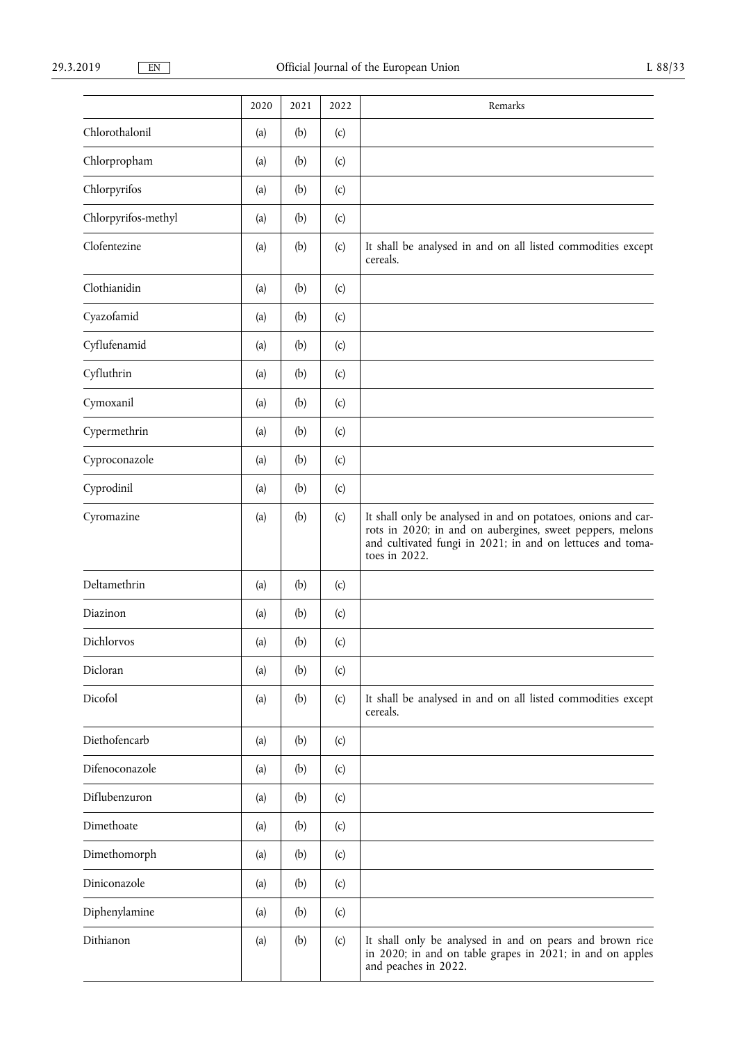|                     | 2020 | 2021 | 2022 | Remarks                                                                                                                                                                                                   |
|---------------------|------|------|------|-----------------------------------------------------------------------------------------------------------------------------------------------------------------------------------------------------------|
| Chlorothalonil      | (a)  | (b)  | (c)  |                                                                                                                                                                                                           |
| Chlorpropham        | (a)  | (b)  | (c)  |                                                                                                                                                                                                           |
| Chlorpyrifos        | (a)  | (b)  | (c)  |                                                                                                                                                                                                           |
| Chlorpyrifos-methyl | (a)  | (b)  | (c)  |                                                                                                                                                                                                           |
| Clofentezine        | (a)  | (b)  | (c)  | It shall be analysed in and on all listed commodities except<br>cereals.                                                                                                                                  |
| Clothianidin        | (a)  | (b)  | (c)  |                                                                                                                                                                                                           |
| Cyazofamid          | (a)  | (b)  | (c)  |                                                                                                                                                                                                           |
| Cyflufenamid        | (a)  | (b)  | (c)  |                                                                                                                                                                                                           |
| Cyfluthrin          | (a)  | (b)  | (c)  |                                                                                                                                                                                                           |
| Cymoxanil           | (a)  | (b)  | (c)  |                                                                                                                                                                                                           |
| Cypermethrin        | (a)  | (b)  | (c)  |                                                                                                                                                                                                           |
| Cyproconazole       | (a)  | (b)  | (c)  |                                                                                                                                                                                                           |
| Cyprodinil          | (a)  | (b)  | (c)  |                                                                                                                                                                                                           |
| Cyromazine          | (a)  | (b)  | (c)  | It shall only be analysed in and on potatoes, onions and car-<br>rots in 2020; in and on aubergines, sweet peppers, melons<br>and cultivated fungi in 2021; in and on lettuces and toma-<br>toes in 2022. |
| Deltamethrin        | (a)  | (b)  | (c)  |                                                                                                                                                                                                           |
| Diazinon            | (a)  | (b)  | (c)  |                                                                                                                                                                                                           |
| Dichlorvos          | (a)  | (b)  | (c)  |                                                                                                                                                                                                           |
| Dicloran            | (a)  | (b)  | (c)  |                                                                                                                                                                                                           |
| Dicofol             | (a)  | (b)  | (c)  | It shall be analysed in and on all listed commodities except<br>cereals.                                                                                                                                  |
| Diethofencarb       | (a)  | (b)  | (c)  |                                                                                                                                                                                                           |
| Difenoconazole      | (a)  | (b)  | (c)  |                                                                                                                                                                                                           |
| Diflubenzuron       | (a)  | (b)  | (c)  |                                                                                                                                                                                                           |
| Dimethoate          | (a)  | (b)  | (c)  |                                                                                                                                                                                                           |
| Dimethomorph        | (a)  | (b)  | (c)  |                                                                                                                                                                                                           |
| Diniconazole        | (a)  | (b)  | (c)  |                                                                                                                                                                                                           |
| Diphenylamine       | (a)  | (b)  | (c)  |                                                                                                                                                                                                           |
| Dithianon           | (a)  | (b)  | (c)  | It shall only be analysed in and on pears and brown rice<br>in 2020; in and on table grapes in 2021; in and on apples<br>and peaches in 2022.                                                             |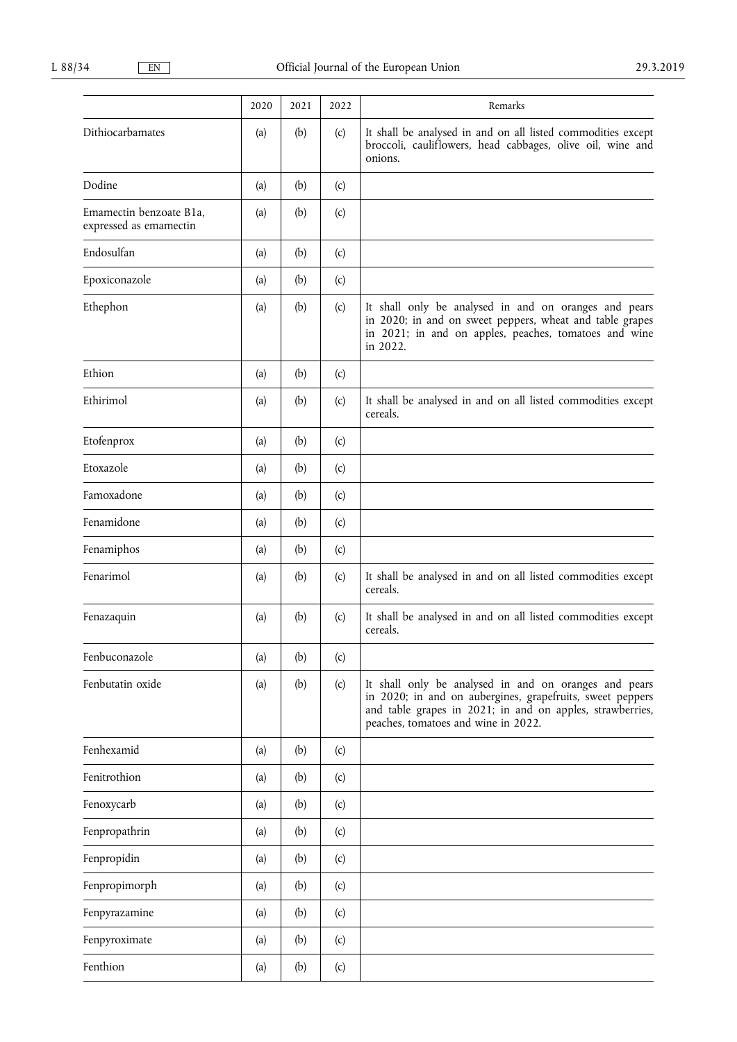|                                                   | 2020 | 2021 | 2022 | Remarks                                                                                                                                                                                                                |
|---------------------------------------------------|------|------|------|------------------------------------------------------------------------------------------------------------------------------------------------------------------------------------------------------------------------|
| Dithiocarbamates                                  | (a)  | (b)  | (c)  | It shall be analysed in and on all listed commodities except<br>broccoli, cauliflowers, head cabbages, olive oil, wine and<br>onions.                                                                                  |
| Dodine                                            | (a)  | (b)  | (c)  |                                                                                                                                                                                                                        |
| Emamectin benzoate B1a,<br>expressed as emamectin | (a)  | (b)  | (c)  |                                                                                                                                                                                                                        |
| Endosulfan                                        | (a)  | (b)  | (c)  |                                                                                                                                                                                                                        |
| Epoxiconazole                                     | (a)  | (b)  | (c)  |                                                                                                                                                                                                                        |
| Ethephon                                          | (a)  | (b)  | (c)  | It shall only be analysed in and on oranges and pears<br>in 2020; in and on sweet peppers, wheat and table grapes<br>in 2021; in and on apples, peaches, tomatoes and wine<br>in 2022.                                 |
| Ethion                                            | (a)  | (b)  | (c)  |                                                                                                                                                                                                                        |
| Ethirimol                                         | (a)  | (b)  | (c)  | It shall be analysed in and on all listed commodities except<br>cereals.                                                                                                                                               |
| Etofenprox                                        | (a)  | (b)  | (c)  |                                                                                                                                                                                                                        |
| Etoxazole                                         | (a)  | (b)  | (c)  |                                                                                                                                                                                                                        |
| Famoxadone                                        | (a)  | (b)  | (c)  |                                                                                                                                                                                                                        |
| Fenamidone                                        | (a)  | (b)  | (c)  |                                                                                                                                                                                                                        |
| Fenamiphos                                        | (a)  | (b)  | (c)  |                                                                                                                                                                                                                        |
| Fenarimol                                         | (a)  | (b)  | (c)  | It shall be analysed in and on all listed commodities except<br>cereals.                                                                                                                                               |
| Fenazaquin                                        | (a)  | (b)  | (c)  | It shall be analysed in and on all listed commodities except<br>cereals.                                                                                                                                               |
| Fenbuconazole                                     | (a)  | (b)  | (c)  |                                                                                                                                                                                                                        |
| Fenbutatin oxide                                  | (a)  | (b)  | (c)  | It shall only be analysed in and on oranges and pears<br>in 2020; in and on aubergines, grapefruits, sweet peppers<br>and table grapes in 2021; in and on apples, strawberries,<br>peaches, tomatoes and wine in 2022. |
| Fenhexamid                                        | (a)  | (b)  | (c)  |                                                                                                                                                                                                                        |
| Fenitrothion                                      | (a)  | (b)  | (c)  |                                                                                                                                                                                                                        |
| Fenoxycarb                                        | (a)  | (b)  | (c)  |                                                                                                                                                                                                                        |
| Fenpropathrin                                     | (a)  | (b)  | (c)  |                                                                                                                                                                                                                        |
| Fenpropidin                                       | (a)  | (b)  | (c)  |                                                                                                                                                                                                                        |
| Fenpropimorph                                     | (a)  | (b)  | (c)  |                                                                                                                                                                                                                        |
| Fenpyrazamine                                     | (a)  | (b)  | (c)  |                                                                                                                                                                                                                        |
| Fenpyroximate                                     | (a)  | (b)  | (c)  |                                                                                                                                                                                                                        |
| Fenthion                                          | (a)  | (b)  | (c)  |                                                                                                                                                                                                                        |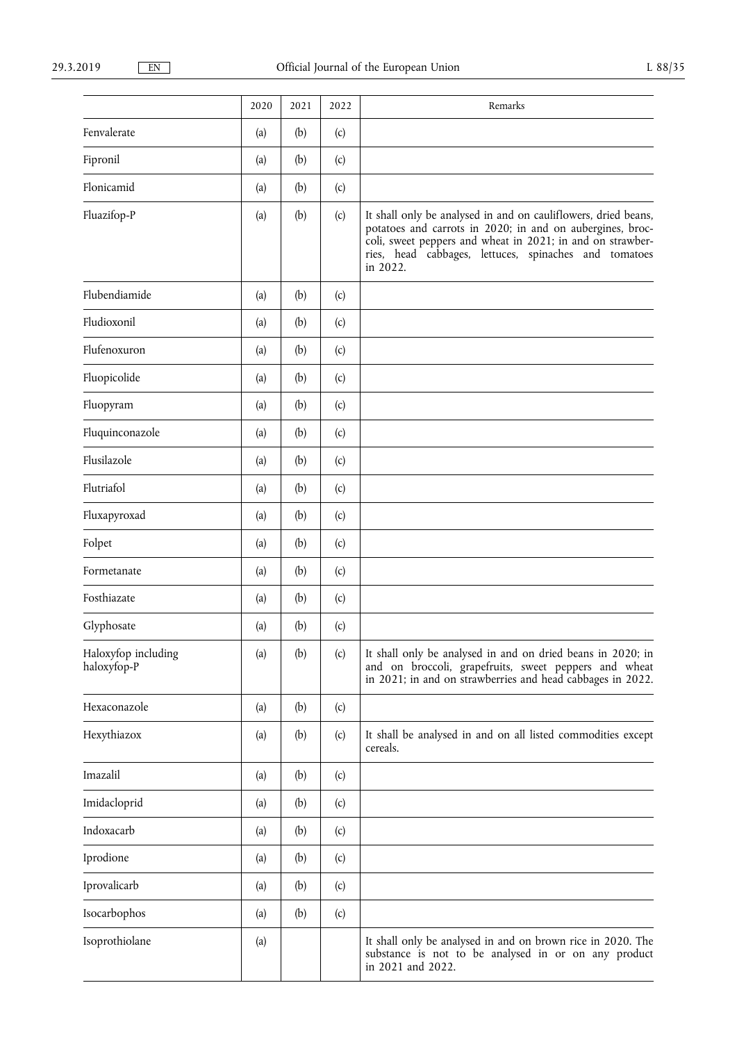|                                    | 2020 | 2021 | 2022 | Remarks                                                                                                                                                                                                                                                        |
|------------------------------------|------|------|------|----------------------------------------------------------------------------------------------------------------------------------------------------------------------------------------------------------------------------------------------------------------|
| Fenvalerate                        | (a)  | (b)  | (c)  |                                                                                                                                                                                                                                                                |
| Fipronil                           | (a)  | (b)  | (c)  |                                                                                                                                                                                                                                                                |
| Flonicamid                         | (a)  | (b)  | (c)  |                                                                                                                                                                                                                                                                |
| Fluazifop-P                        | (a)  | (b)  | (c)  | It shall only be analysed in and on cauliflowers, dried beans,<br>potatoes and carrots in 2020; in and on aubergines, broc-<br>coli, sweet peppers and wheat in 2021; in and on strawber-<br>ries, head cabbages, lettuces, spinaches and tomatoes<br>in 2022. |
| Flubendiamide                      | (a)  | (b)  | (c)  |                                                                                                                                                                                                                                                                |
| Fludioxonil                        | (a)  | (b)  | (c)  |                                                                                                                                                                                                                                                                |
| Flufenoxuron                       | (a)  | (b)  | (c)  |                                                                                                                                                                                                                                                                |
| Fluopicolide                       | (a)  | (b)  | (c)  |                                                                                                                                                                                                                                                                |
| Fluopyram                          | (a)  | (b)  | (c)  |                                                                                                                                                                                                                                                                |
| Fluquinconazole                    | (a)  | (b)  | (c)  |                                                                                                                                                                                                                                                                |
| Flusilazole                        | (a)  | (b)  | (c)  |                                                                                                                                                                                                                                                                |
| Flutriafol                         | (a)  | (b)  | (c)  |                                                                                                                                                                                                                                                                |
| Fluxapyroxad                       | (a)  | (b)  | (c)  |                                                                                                                                                                                                                                                                |
| Folpet                             | (a)  | (b)  | (c)  |                                                                                                                                                                                                                                                                |
| Formetanate                        | (a)  | (b)  | (c)  |                                                                                                                                                                                                                                                                |
| Fosthiazate                        | (a)  | (b)  | (c)  |                                                                                                                                                                                                                                                                |
| Glyphosate                         | (a)  | (b)  | (c)  |                                                                                                                                                                                                                                                                |
| Haloxyfop including<br>haloxyfop-P | (a)  | (b)  | (c)  | It shall only be analysed in and on dried beans in 2020; in<br>and on broccoli, grapefruits, sweet peppers and wheat<br>in 2021; in and on strawberries and head cabbages in 2022.                                                                             |
| Hexaconazole                       | (a)  | (b)  | (c)  |                                                                                                                                                                                                                                                                |
| Hexythiazox                        | (a)  | (b)  | (c)  | It shall be analysed in and on all listed commodities except<br>cereals.                                                                                                                                                                                       |
| Imazalil                           | (a)  | (b)  | (c)  |                                                                                                                                                                                                                                                                |
| Imidacloprid                       | (a)  | (b)  | (c)  |                                                                                                                                                                                                                                                                |
| Indoxacarb                         | (a)  | (b)  | (c)  |                                                                                                                                                                                                                                                                |
| Iprodione                          | (a)  | (b)  | (c)  |                                                                                                                                                                                                                                                                |
| Iprovalicarb                       | (a)  | (b)  | (c)  |                                                                                                                                                                                                                                                                |
| Isocarbophos                       | (a)  | (b)  | (c)  |                                                                                                                                                                                                                                                                |
| Isoprothiolane                     | (a)  |      |      | It shall only be analysed in and on brown rice in 2020. The<br>substance is not to be analysed in or on any product<br>in 2021 and 2022.                                                                                                                       |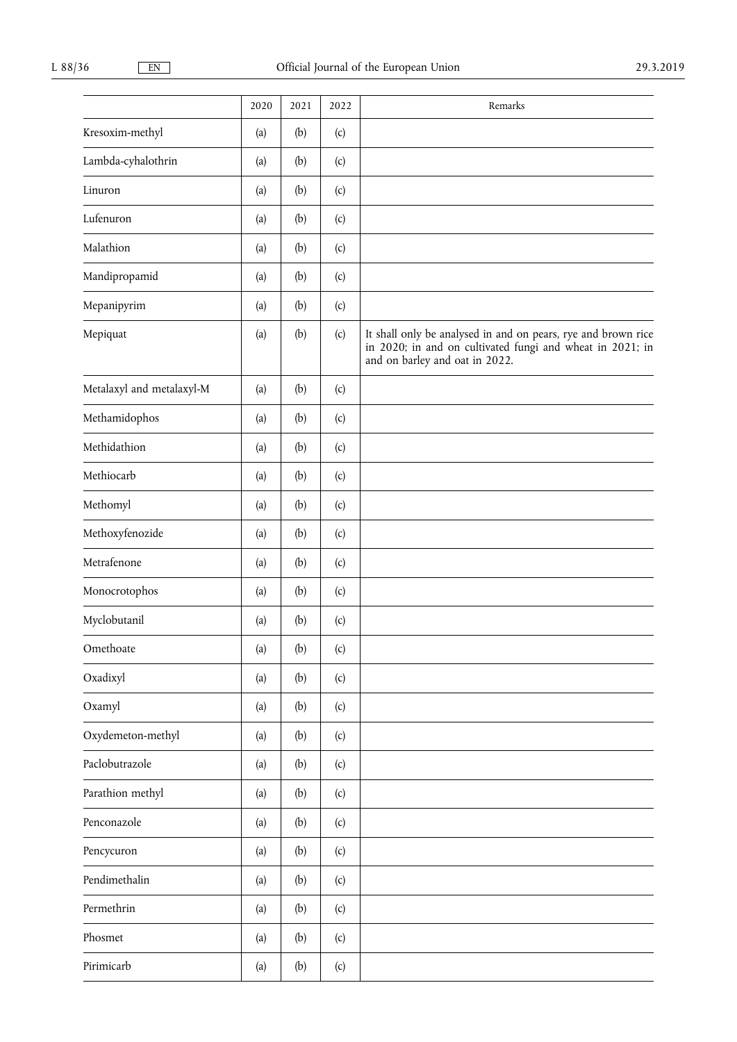|                           | 2020 | 2021 | 2022                       | Remarks                                                                                                                                                      |
|---------------------------|------|------|----------------------------|--------------------------------------------------------------------------------------------------------------------------------------------------------------|
| Kresoxim-methyl           | (a)  | (b)  | (c)                        |                                                                                                                                                              |
| Lambda-cyhalothrin        | (a)  | (b)  | (c)                        |                                                                                                                                                              |
| Linuron                   | (a)  | (b)  | (c)                        |                                                                                                                                                              |
| Lufenuron                 | (a)  | (b)  | (c)                        |                                                                                                                                                              |
| Malathion                 | (a)  | (b)  | (c)                        |                                                                                                                                                              |
| Mandipropamid             | (a)  | (b)  | (c)                        |                                                                                                                                                              |
| Mepanipyrim               | (a)  | (b)  | (c)                        |                                                                                                                                                              |
| Mepiquat                  | (a)  | (b)  | (c)                        | It shall only be analysed in and on pears, rye and brown rice<br>in 2020; in and on cultivated fungi and wheat in 2021; in<br>and on barley and oat in 2022. |
| Metalaxyl and metalaxyl-M | (a)  | (b)  | (c)                        |                                                                                                                                                              |
| Methamidophos             | (a)  | (b)  | (c)                        |                                                                                                                                                              |
| Methidathion              | (a)  | (b)  | (c)                        |                                                                                                                                                              |
| Methiocarb                | (a)  | (b)  | (c)                        |                                                                                                                                                              |
| Methomyl                  | (a)  | (b)  | (c)                        |                                                                                                                                                              |
| Methoxyfenozide           | (a)  | (b)  | (c)                        |                                                                                                                                                              |
| Metrafenone               | (a)  | (b)  | (c)                        |                                                                                                                                                              |
| Monocrotophos             | (a)  | (b)  | (c)                        |                                                                                                                                                              |
| Myclobutanil              | (a)  | (b)  | (c)                        |                                                                                                                                                              |
| Omethoate                 | (a)  | (b)  | $\left( \mathrm{c}\right)$ |                                                                                                                                                              |
| Oxadixyl                  | (a)  | (b)  | (c)                        |                                                                                                                                                              |
| Oxamyl                    | (a)  | (b)  | (c)                        |                                                                                                                                                              |
| Oxydemeton-methyl         | (a)  | (b)  | (c)                        |                                                                                                                                                              |
| Paclobutrazole            | (a)  | (b)  | (c)                        |                                                                                                                                                              |
| Parathion methyl          | (a)  | (b)  | (c)                        |                                                                                                                                                              |
| Penconazole               | (a)  | (b)  | (c)                        |                                                                                                                                                              |
| Pencycuron                | (a)  | (b)  | (c)                        |                                                                                                                                                              |
| Pendimethalin             | (a)  | (b)  | (c)                        |                                                                                                                                                              |
| Permethrin                | (a)  | (b)  | (c)                        |                                                                                                                                                              |
| Phosmet                   | (a)  | (b)  | (c)                        |                                                                                                                                                              |
| Pirimicarb                | (a)  | (b)  | (c)                        |                                                                                                                                                              |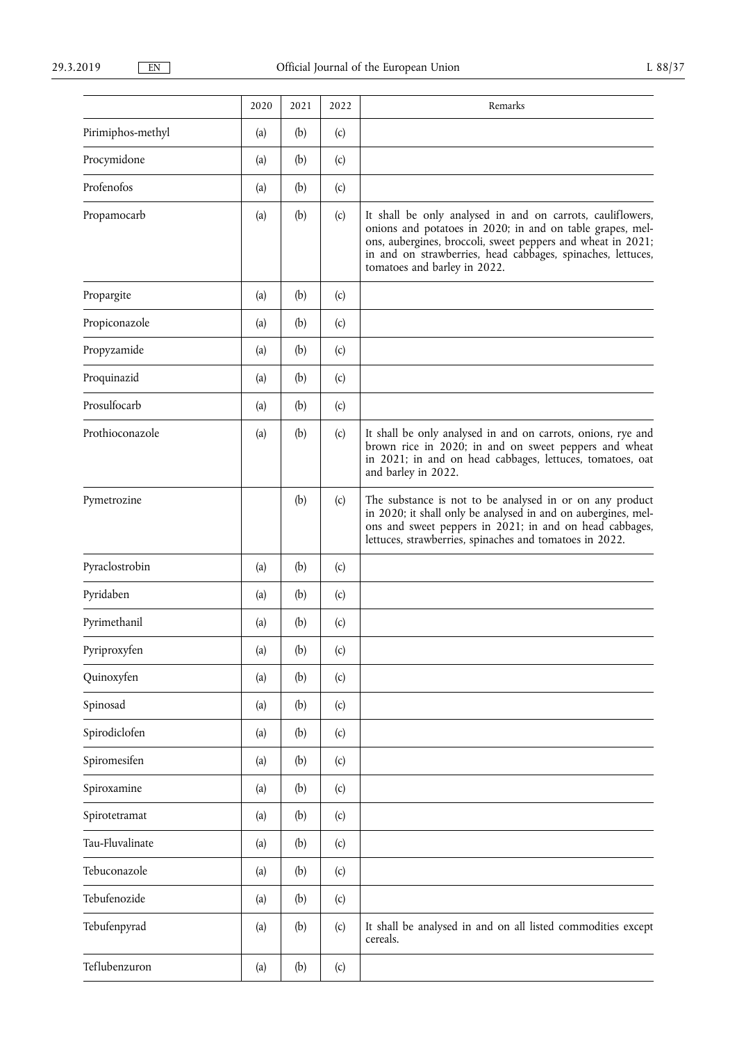|                   | 2020 | 2021 | 2022 | Remarks                                                                                                                                                                                                                                                                               |
|-------------------|------|------|------|---------------------------------------------------------------------------------------------------------------------------------------------------------------------------------------------------------------------------------------------------------------------------------------|
| Pirimiphos-methyl | (a)  | (b)  | (c)  |                                                                                                                                                                                                                                                                                       |
| Procymidone       | (a)  | (b)  | (c)  |                                                                                                                                                                                                                                                                                       |
| Profenofos        | (a)  | (b)  | (c)  |                                                                                                                                                                                                                                                                                       |
| Propamocarb       | (a)  | (b)  | (c)  | It shall be only analysed in and on carrots, cauliflowers,<br>onions and potatoes in 2020; in and on table grapes, mel-<br>ons, aubergines, broccoli, sweet peppers and wheat in 2021;<br>in and on strawberries, head cabbages, spinaches, lettuces,<br>tomatoes and barley in 2022. |
| Propargite        | (a)  | (b)  | (c)  |                                                                                                                                                                                                                                                                                       |
| Propiconazole     | (a)  | (b)  | (c)  |                                                                                                                                                                                                                                                                                       |
| Propyzamide       | (a)  | (b)  | (c)  |                                                                                                                                                                                                                                                                                       |
| Proquinazid       | (a)  | (b)  | (c)  |                                                                                                                                                                                                                                                                                       |
| Prosulfocarb      | (a)  | (b)  | (c)  |                                                                                                                                                                                                                                                                                       |
| Prothioconazole   | (a)  | (b)  | (c)  | It shall be only analysed in and on carrots, onions, rye and<br>brown rice in 2020; in and on sweet peppers and wheat<br>in 2021; in and on head cabbages, lettuces, tomatoes, oat<br>and barley in 2022.                                                                             |
| Pymetrozine       |      | (b)  | (c)  | The substance is not to be analysed in or on any product<br>in 2020; it shall only be analysed in and on aubergines, mel-<br>ons and sweet peppers in 2021; in and on head cabbages,<br>lettuces, strawberries, spinaches and tomatoes in 2022.                                       |
| Pyraclostrobin    | (a)  | (b)  | (c)  |                                                                                                                                                                                                                                                                                       |
| Pyridaben         | (a)  | (b)  | (c)  |                                                                                                                                                                                                                                                                                       |
| Pyrimethanil      | (a)  | (b)  | (c)  |                                                                                                                                                                                                                                                                                       |
| Pyriproxyfen      | (a)  | (b)  | (c)  |                                                                                                                                                                                                                                                                                       |
| Quinoxyfen        | (a)  | (b)  | (c)  |                                                                                                                                                                                                                                                                                       |
| Spinosad          | (a)  | (b)  | (c)  |                                                                                                                                                                                                                                                                                       |
| Spirodiclofen     | (a)  | (b)  | (c)  |                                                                                                                                                                                                                                                                                       |
| Spiromesifen      | (a)  | (b)  | (c)  |                                                                                                                                                                                                                                                                                       |
| Spiroxamine       | (a)  | (b)  | (c)  |                                                                                                                                                                                                                                                                                       |
| Spirotetramat     | (a)  | (b)  | (c)  |                                                                                                                                                                                                                                                                                       |
| Tau-Fluvalinate   | (a)  | (b)  | (c)  |                                                                                                                                                                                                                                                                                       |
| Tebuconazole      | (a)  | (b)  | (c)  |                                                                                                                                                                                                                                                                                       |
| Tebufenozide      | (a)  | (b)  | (c)  |                                                                                                                                                                                                                                                                                       |
| Tebufenpyrad      | (a)  | (b)  | (c)  | It shall be analysed in and on all listed commodities except<br>cereals.                                                                                                                                                                                                              |
| Teflubenzuron     | (a)  | (b)  | (c)  |                                                                                                                                                                                                                                                                                       |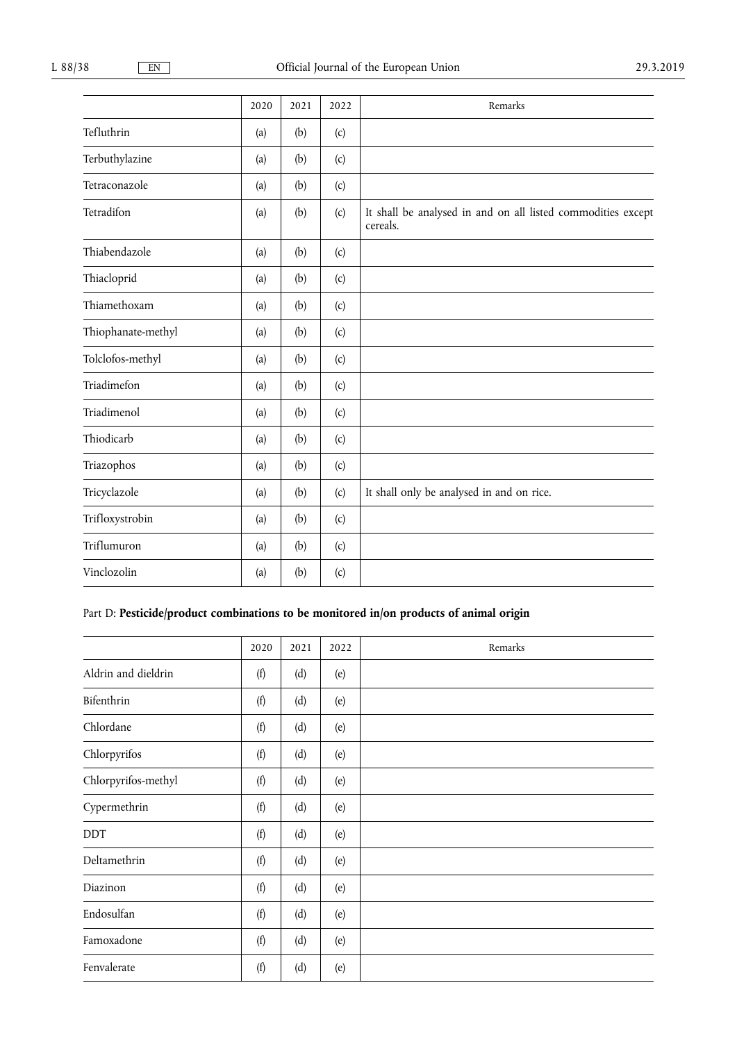|                    | 2020 | 2021 | 2022 | Remarks                                                                  |
|--------------------|------|------|------|--------------------------------------------------------------------------|
| Tefluthrin         | (a)  | (b)  | (c)  |                                                                          |
| Terbuthylazine     | (a)  | (b)  | (c)  |                                                                          |
| Tetraconazole      | (a)  | (b)  | (c)  |                                                                          |
| Tetradifon         | (a)  | (b)  | (c)  | It shall be analysed in and on all listed commodities except<br>cereals. |
| Thiabendazole      | (a)  | (b)  | (c)  |                                                                          |
| Thiacloprid        | (a)  | (b)  | (c)  |                                                                          |
| Thiamethoxam       | (a)  | (b)  | (c)  |                                                                          |
| Thiophanate-methyl | (a)  | (b)  | (c)  |                                                                          |
| Tolclofos-methyl   | (a)  | (b)  | (c)  |                                                                          |
| Triadimefon        | (a)  | (b)  | (c)  |                                                                          |
| Triadimenol        | (a)  | (b)  | (c)  |                                                                          |
| Thiodicarb         | (a)  | (b)  | (c)  |                                                                          |
| Triazophos         | (a)  | (b)  | (c)  |                                                                          |
| Tricyclazole       | (a)  | (b)  | (c)  | It shall only be analysed in and on rice.                                |
| Trifloxystrobin    | (a)  | (b)  | (c)  |                                                                          |
| Triflumuron        | (a)  | (b)  | (c)  |                                                                          |
| Vinclozolin        | (a)  | (b)  | (c)  |                                                                          |

## Part D: Pesticide/product combinations to be monitored in/on products of animal origin

|                     | 2020 | 2021 | 2022 | Remarks |
|---------------------|------|------|------|---------|
| Aldrin and dieldrin | (f)  | (d)  | (e)  |         |
| Bifenthrin          | (f)  | (d)  | (e)  |         |
| Chlordane           | (f)  | (d)  | (e)  |         |
| Chlorpyrifos        | (f)  | (d)  | (e)  |         |
| Chlorpyrifos-methyl | (f)  | (d)  | (e)  |         |
| Cypermethrin        | (f)  | (d)  | (e)  |         |
| <b>DDT</b>          | (f)  | (d)  | (e)  |         |
| Deltamethrin        | (f)  | (d)  | (e)  |         |
| Diazinon            | (f)  | (d)  | (e)  |         |
| Endosulfan          | (f)  | (d)  | (e)  |         |
| Famoxadone          | (f)  | (d)  | (e)  |         |
| Fenvalerate         | (f)  | (d)  | (e)  |         |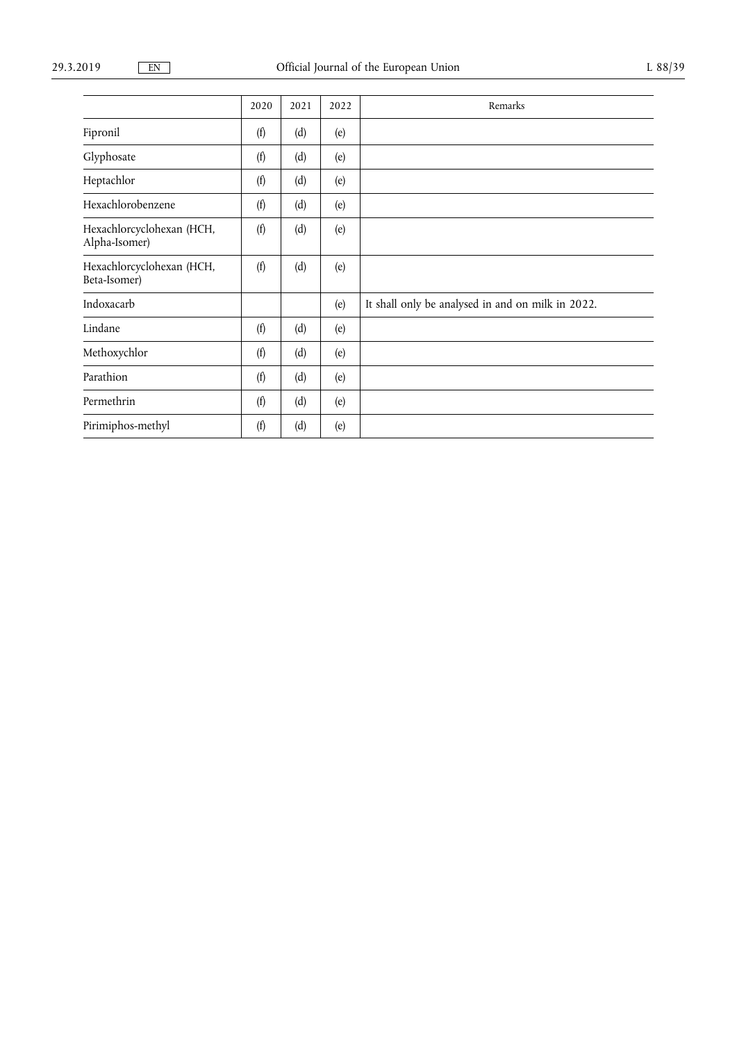|                                            | 2020 | 2021 | 2022 | Remarks                                           |
|--------------------------------------------|------|------|------|---------------------------------------------------|
| Fipronil                                   | (f)  | (d)  | (e)  |                                                   |
| Glyphosate                                 | (f)  | (d)  | (e)  |                                                   |
| Heptachlor                                 | (f)  | (d)  | (e)  |                                                   |
| Hexachlorobenzene                          | (f)  | (d)  | (e)  |                                                   |
| Hexachlorcyclohexan (HCH,<br>Alpha-Isomer) | (f)  | (d)  | (e)  |                                                   |
| Hexachlorcyclohexan (HCH,<br>Beta-Isomer)  | (f)  | (d)  | (e)  |                                                   |
| Indoxacarb                                 |      |      | (e)  | It shall only be analysed in and on milk in 2022. |
| Lindane                                    | (f)  | (d)  | (e)  |                                                   |
| Methoxychlor                               | (f)  | (d)  | (e)  |                                                   |
| Parathion                                  | (f)  | (d)  | (e)  |                                                   |
| Permethrin                                 | (f)  | (d)  | (e)  |                                                   |
| Pirimiphos-methyl                          | (f)  | (d)  | (e)  |                                                   |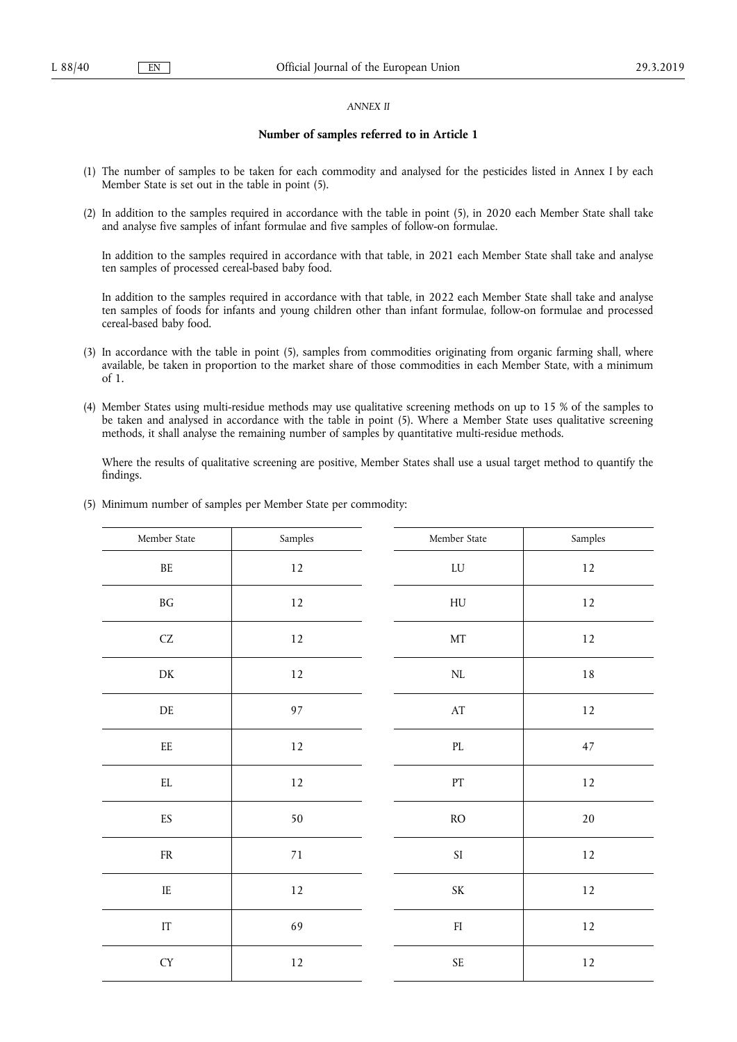## *ANNEX II*

## **Number of samples referred to in Article 1**

- (1) The number of samples to be taken for each commodity and analysed for the pesticides listed in Annex I by each Member State is set out in the table in point (5).
- (2) In addition to the samples required in accordance with the table in point (5), in 2020 each Member State shall take and analyse five samples of infant formulae and five samples of follow-on formulae.

In addition to the samples required in accordance with that table, in 2021 each Member State shall take and analyse ten samples of processed cereal-based baby food.

In addition to the samples required in accordance with that table, in 2022 each Member State shall take and analyse ten samples of foods for infants and young children other than infant formulae, follow-on formulae and processed cereal-based baby food.

- (3) In accordance with the table in point (5), samples from commodities originating from organic farming shall, where available, be taken in proportion to the market share of those commodities in each Member State, with a minimum of 1.
- (4) Member States using multi-residue methods may use qualitative screening methods on up to 15 % of the samples to be taken and analysed in accordance with the table in point (5). Where a Member State uses qualitative screening methods, it shall analyse the remaining number of samples by quantitative multi-residue methods.

Where the results of qualitative screening are positive, Member States shall use a usual target method to quantify the findings.

| Member State         | $\mbox{Samples}$ | Member State                      | Samples |
|----------------------|------------------|-----------------------------------|---------|
| $\rm BE$             | $12\,$           | LU                                | $12\,$  |
| $\operatorname{B} G$ | $12\,$           | ${\rm H}{\rm U}$                  | $12\,$  |
| $\operatorname{CZ}$  | $12\,$           | $\rm{MT}$                         | $12\,$  |
| ${\rm DK}$           | 12               | $\rm NL$                          | $1\,8$  |
| $\rm DE$             | $97\,$           | $\mathbf{A}\mathbf{T}$            | $12\,$  |
| $\rm{EE}$            | $12\,$           | $\mathop{\rm PL}$                 | $47\,$  |
| $\mathop{\rm EL}$    | $12\,$           | $\mathop{\rm PT}\nolimits$        | $12\,$  |
| ${\rm ES}$           | 50               | $\rm{RO}$                         | $20\,$  |
| ${\rm FR}$           | $71\,$           | $\rm SI$                          | $12\,$  |
| $\rm IE$             | $12\,$           | $\ensuremath{\mathsf{SK}}\xspace$ | $12\,$  |
| $\operatorname{IT}$  | 69               | ${\rm FI}$                        | $12\,$  |
| ${\rm CY}$           | $12\,$           | $\ensuremath{\mathsf{SE}}$        | $12\,$  |

(5) Minimum number of samples per Member State per commodity: